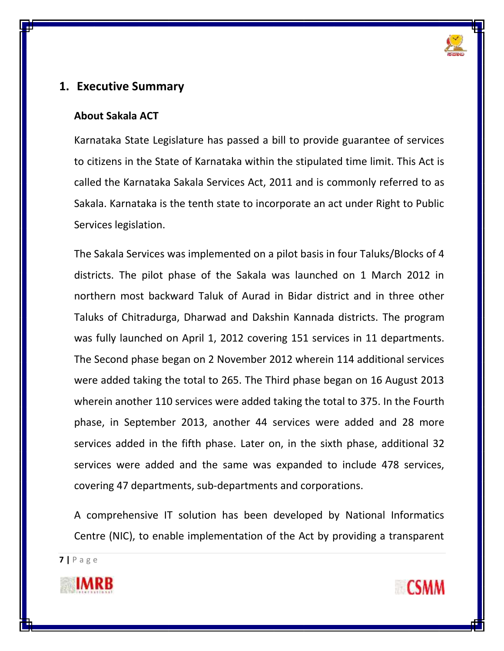

# **1. Executive Summary**

### **About Sakala ACT**

Karnataka State Legislature has passed a bill to provide guarantee of services to citizens in the State of Karnataka within the stipulated time limit. This Act is called the Karnataka Sakala Services Act, 2011 and is commonly referred to as Sakala. Karnataka is the tenth state to incorporate an act under Right to Public Services legislation.

The Sakala Services was implemented on a pilot basis in four Taluks/Blocks of 4 districts. The pilot phase of the Sakala was launched on 1 March 2012 in northern most backward Taluk of Aurad in Bidar district and in three other Taluks of Chitradurga, Dharwad and Dakshin Kannada districts. The program was fully launched on April 1, 2012 covering 151 services in 11 departments. The Second phase began on 2 November 2012 wherein 114 additional services were added taking the total to 265. The Third phase began on 16 August 2013 wherein another 110 services were added taking the total to 375. In the Fourth phase, in September 2013, another 44 services were added and 28 more services added in the fifth phase. Later on, in the sixth phase, additional 32 services were added and the same was expanded to include 478 services, covering 47 departments, sub-departments and corporations.

A comprehensive IT solution has been developed by National Informatics Centre (NIC), to enable implementation of the Act by providing a transparent



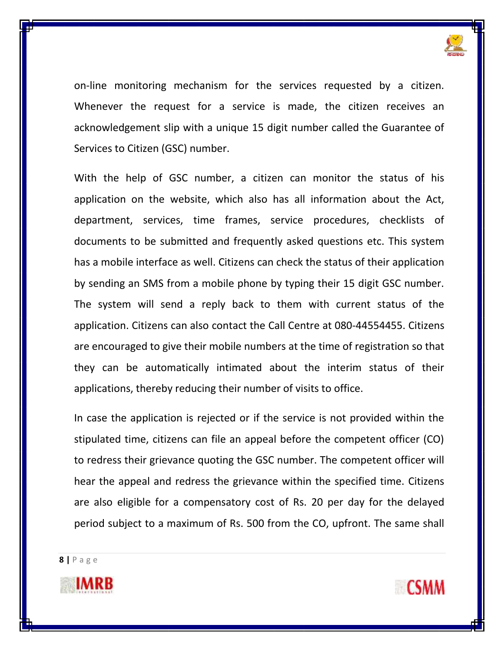

on-line monitoring mechanism for the services requested by a citizen. Whenever the request for a service is made, the citizen receives an acknowledgement slip with a unique 15 digit number called the Guarantee of Services to Citizen (GSC) number.

With the help of GSC number, a citizen can monitor the status of his application on the website, which also has all information about the Act, department, services, time frames, service procedures, checklists of documents to be submitted and frequently asked questions etc. This system has a mobile interface as well. Citizens can check the status of their application by sending an SMS from a mobile phone by typing their 15 digit GSC number. The system will send a reply back to them with current status of the application. Citizens can also contact the Call Centre at 080-44554455. Citizens are encouraged to give their mobile numbers at the time of registration so that they can be automatically intimated about the interim status of their applications, thereby reducing their number of visits to office.

In case the application is rejected or if the service is not provided within the stipulated time, citizens can file an appeal before the competent officer (CO) to redress their grievance quoting the GSC number. The competent officer will hear the appeal and redress the grievance within the specified time. Citizens are also eligible for a compensatory cost of Rs. 20 per day for the delayed period subject to a maximum of Rs. 500 from the CO, upfront. The same shall



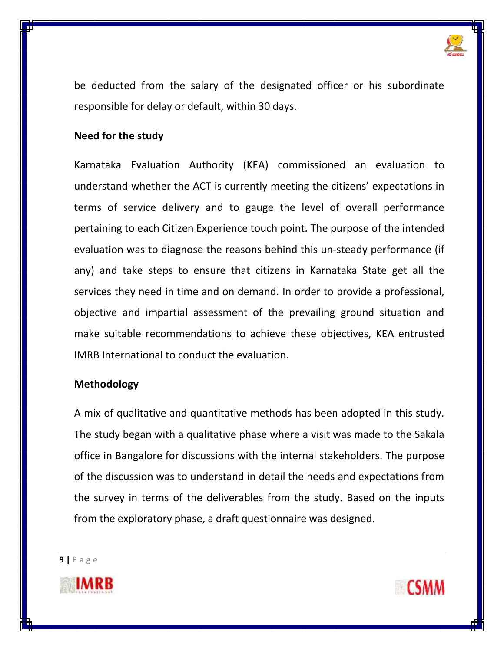

be deducted from the salary of the designated officer or his subordinate responsible for delay or default, within 30 days.

## **Need for the study**

Karnataka Evaluation Authority (KEA) commissioned an evaluation to understand whether the ACT is currently meeting the citizens' expectations in terms of service delivery and to gauge the level of overall performance pertaining to each Citizen Experience touch point. The purpose of the intended evaluation was to diagnose the reasons behind this un-steady performance (if any) and take steps to ensure that citizens in Karnataka State get all the services they need in time and on demand. In order to provide a professional, objective and impartial assessment of the prevailing ground situation and make suitable recommendations to achieve these objectives, KEA entrusted IMRB International to conduct the evaluation.

## **Methodology**

A mix of qualitative and quantitative methods has been adopted in this study. The study began with a qualitative phase where a visit was made to the Sakala office in Bangalore for discussions with the internal stakeholders. The purpose of the discussion was to understand in detail the needs and expectations from the survey in terms of the deliverables from the study. Based on the inputs from the exploratory phase, a draft questionnaire was designed.



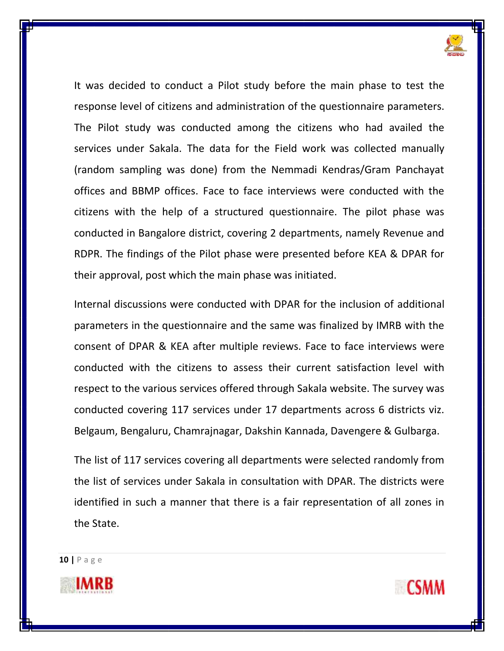

It was decided to conduct a Pilot study before the main phase to test the response level of citizens and administration of the questionnaire parameters. The Pilot study was conducted among the citizens who had availed the services under Sakala. The data for the Field work was collected manually (random sampling was done) from the Nemmadi Kendras/Gram Panchayat offices and BBMP offices. Face to face interviews were conducted with the citizens with the help of a structured questionnaire. The pilot phase was conducted in Bangalore district, covering 2 departments, namely Revenue and RDPR. The findings of the Pilot phase were presented before KEA & DPAR for their approval, post which the main phase was initiated.

Internal discussions were conducted with DPAR for the inclusion of additional parameters in the questionnaire and the same was finalized by IMRB with the consent of DPAR & KEA after multiple reviews. Face to face interviews were conducted with the citizens to assess their current satisfaction level with respect to the various services offered through Sakala website. The survey was conducted covering 117 services under 17 departments across 6 districts viz. Belgaum, Bengaluru, Chamrajnagar, Dakshin Kannada, Davengere & Gulbarga.

The list of 117 services covering all departments were selected randomly from the list of services under Sakala in consultation with DPAR. The districts were identified in such a manner that there is a fair representation of all zones in the State.



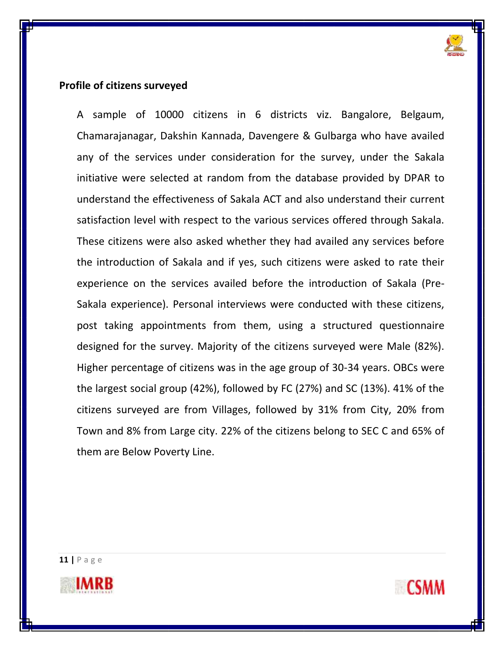

#### **Profile of citizens surveyed**

A sample of 10000 citizens in 6 districts viz. Bangalore, Belgaum, Chamarajanagar, Dakshin Kannada, Davengere & Gulbarga who have availed any of the services under consideration for the survey, under the Sakala initiative were selected at random from the database provided by DPAR to understand the effectiveness of Sakala ACT and also understand their current satisfaction level with respect to the various services offered through Sakala. These citizens were also asked whether they had availed any services before the introduction of Sakala and if yes, such citizens were asked to rate their experience on the services availed before the introduction of Sakala (Pre-Sakala experience). Personal interviews were conducted with these citizens, post taking appointments from them, using a structured questionnaire designed for the survey. Majority of the citizens surveyed were Male (82%). Higher percentage of citizens was in the age group of 30-34 years. OBCs were the largest social group (42%), followed by FC (27%) and SC (13%). 41% of the citizens surveyed are from Villages, followed by 31% from City, 20% from Town and 8% from Large city. 22% of the citizens belong to SEC C and 65% of them are Below Poverty Line.